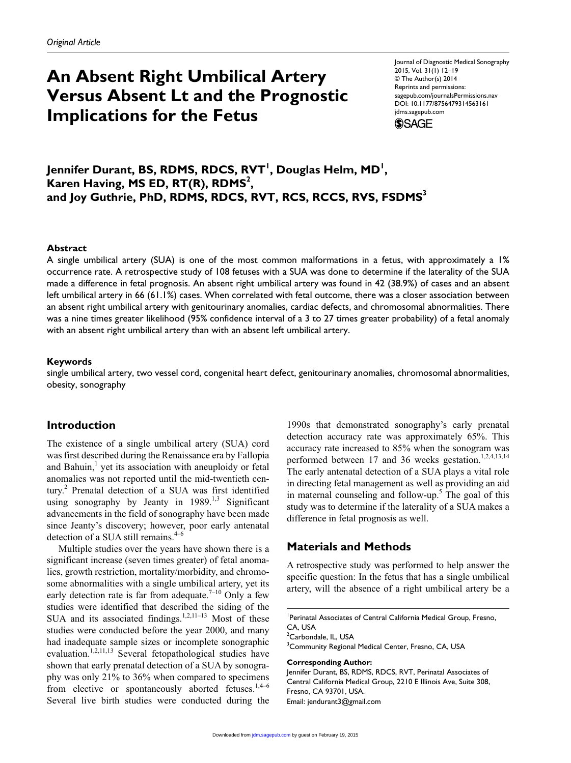# **An Absent Right Umbilical Artery Versus Absent Lt and the Prognostic Implications for the Fetus**

Journal of Diagnostic Medical Sonography 2015, Vol. 31(1) 12–19 © The Author(s) 2014 Reprints and permissions: sagepub.com/journalsPermissions.nav DOI: 10.1177/8756479314563161 jdms.sagepub.com **SSAGE** 

**J**ennifer Durant, BS, RDMS, RDCS, RVT<sup>I</sup>, Douglas Helm, MD<sup>I</sup>, Karen Having, MS ED, RT(R), RDMS<sup>2</sup>, **and Joy Guthrie, PhD, RDMS, RDCS, RVT, RCS, RCCS, RVS, FSDMS<sup>3</sup>**

# **Abstract**

A single umbilical artery (SUA) is one of the most common malformations in a fetus, with approximately a 1% occurrence rate. A retrospective study of 108 fetuses with a SUA was done to determine if the laterality of the SUA made a difference in fetal prognosis. An absent right umbilical artery was found in 42 (38.9%) of cases and an absent left umbilical artery in 66 (61.1%) cases. When correlated with fetal outcome, there was a closer association between an absent right umbilical artery with genitourinary anomalies, cardiac defects, and chromosomal abnormalities. There was a nine times greater likelihood (95% confidence interval of a 3 to 27 times greater probability) of a fetal anomaly with an absent right umbilical artery than with an absent left umbilical artery.

## **Keywords**

single umbilical artery, two vessel cord, congenital heart defect, genitourinary anomalies, chromosomal abnormalities, obesity, sonography

# **Introduction**

The existence of a single umbilical artery (SUA) cord was first described during the Renaissance era by Fallopia and Bahuin, $<sup>1</sup>$  yet its association with aneuploidy or fetal</sup> anomalies was not reported until the mid-twentieth century.<sup>2</sup> Prenatal detection of a SUA was first identified using sonography by Jeanty in  $1989$ <sup>1,3</sup> Significant advancements in the field of sonography have been made since Jeanty's discovery; however, poor early antenatal detection of a SUA still remains. $4-6$ 

Multiple studies over the years have shown there is a significant increase (seven times greater) of fetal anomalies, growth restriction, mortality/morbidity, and chromosome abnormalities with a single umbilical artery, yet its early detection rate is far from adequate.<sup>7-10</sup> Only a few studies were identified that described the siding of the SUA and its associated findings.<sup>1,2,11–13</sup> Most of these studies were conducted before the year 2000, and many had inadequate sample sizes or incomplete sonographic evaluation.<sup>1,2,11,13</sup> Several fetopathological studies have shown that early prenatal detection of a SUA by sonography was only 21% to 36% when compared to specimens from elective or spontaneously aborted fetuses.<sup>1,4–6</sup> Several live birth studies were conducted during the

1990s that demonstrated sonography's early prenatal detection accuracy rate was approximately 65%. This accuracy rate increased to 85% when the sonogram was performed between 17 and 36 weeks gestation.<sup>1,2,4,13,14</sup> The early antenatal detection of a SUA plays a vital role in directing fetal management as well as providing an aid in maternal counseling and follow-up.<sup>5</sup> The goal of this study was to determine if the laterality of a SUA makes a difference in fetal prognosis as well.

# **Materials and Methods**

A retrospective study was performed to help answer the specific question: In the fetus that has a single umbilical artery, will the absence of a right umbilical artery be a

<sup>1</sup> Perinatal Associates of Central California Medical Group, Fresno, CA, USA <sup>2</sup>Carbondale, IL, USA

#### **Corresponding Author:**

Jennifer Durant, BS, RDMS, RDCS, RVT, Perinatal Associates of Central California Medical Group, 2210 E Illinois Ave, Suite 308, Fresno, CA 93701, USA. Email: [jendurant3@gmail.com](mailto:jendurant3@gmail.com)

<sup>&</sup>lt;sup>3</sup>Community Regional Medical Center, Fresno, CA, USA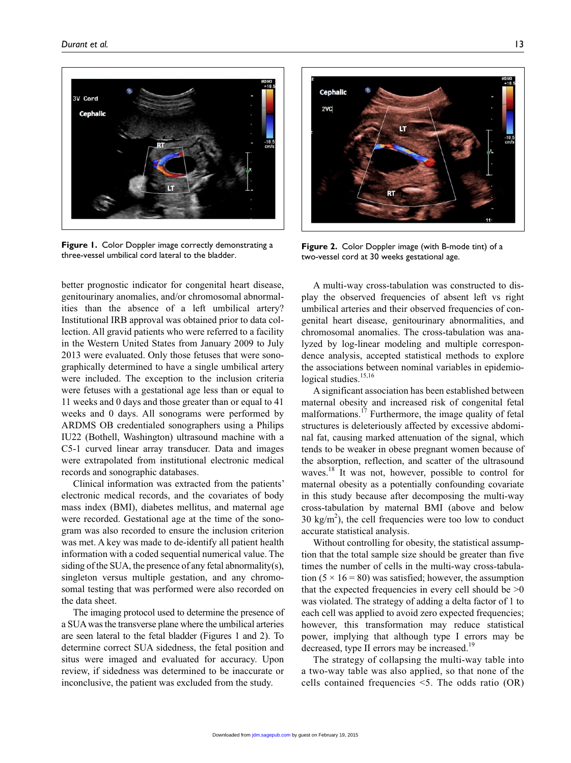

Figure 1. Color Doppler image correctly demonstrating a three-vessel umbilical cord lateral to the bladder.

better prognostic indicator for congenital heart disease, genitourinary anomalies, and/or chromosomal abnormalities than the absence of a left umbilical artery? Institutional IRB approval was obtained prior to data collection. All gravid patients who were referred to a facility in the Western United States from January 2009 to July 2013 were evaluated. Only those fetuses that were sonographically determined to have a single umbilical artery were included. The exception to the inclusion criteria were fetuses with a gestational age less than or equal to 11 weeks and 0 days and those greater than or equal to 41 weeks and 0 days. All sonograms were performed by ARDMS OB credentialed sonographers using a Philips IU22 (Bothell, Washington) ultrasound machine with a C5-1 curved linear array transducer. Data and images were extrapolated from institutional electronic medical records and sonographic databases.

Clinical information was extracted from the patients' electronic medical records, and the covariates of body mass index (BMI), diabetes mellitus, and maternal age were recorded. Gestational age at the time of the sonogram was also recorded to ensure the inclusion criterion was met. A key was made to de-identify all patient health information with a coded sequential numerical value. The siding of the SUA, the presence of any fetal abnormality(s), singleton versus multiple gestation, and any chromosomal testing that was performed were also recorded on the data sheet.

The imaging protocol used to determine the presence of a SUA was the transverse plane where the umbilical arteries are seen lateral to the fetal bladder (Figures 1 and 2). To determine correct SUA sidedness, the fetal position and situs were imaged and evaluated for accuracy. Upon review, if sidedness was determined to be inaccurate or inconclusive, the patient was excluded from the study.



**Figure 2.** Color Doppler image (with B-mode tint) of a two-vessel cord at 30 weeks gestational age.

A multi-way cross-tabulation was constructed to display the observed frequencies of absent left vs right umbilical arteries and their observed frequencies of congenital heart disease, genitourinary abnormalities, and chromosomal anomalies. The cross-tabulation was analyzed by log-linear modeling and multiple correspondence analysis, accepted statistical methods to explore the associations between nominal variables in epidemiological studies.<sup>15,16</sup>

A significant association has been established between maternal obesity and increased risk of congenital fetal malformations.17 Furthermore, the image quality of fetal structures is deleteriously affected by excessive abdominal fat, causing marked attenuation of the signal, which tends to be weaker in obese pregnant women because of the absorption, reflection, and scatter of the ultrasound waves.18 It was not, however, possible to control for maternal obesity as a potentially confounding covariate in this study because after decomposing the multi-way cross-tabulation by maternal BMI (above and below  $30 \text{ kg/m}^2$ ), the cell frequencies were too low to conduct accurate statistical analysis.

Without controlling for obesity, the statistical assumption that the total sample size should be greater than five times the number of cells in the multi-way cross-tabulation (5  $\times$  16 = 80) was satisfied; however, the assumption that the expected frequencies in every cell should be  $\geq 0$ was violated. The strategy of adding a delta factor of 1 to each cell was applied to avoid zero expected frequencies; however, this transformation may reduce statistical power, implying that although type I errors may be decreased, type II errors may be increased.<sup>19</sup>

The strategy of collapsing the multi-way table into a two-way table was also applied, so that none of the cells contained frequencies <5. The odds ratio (OR)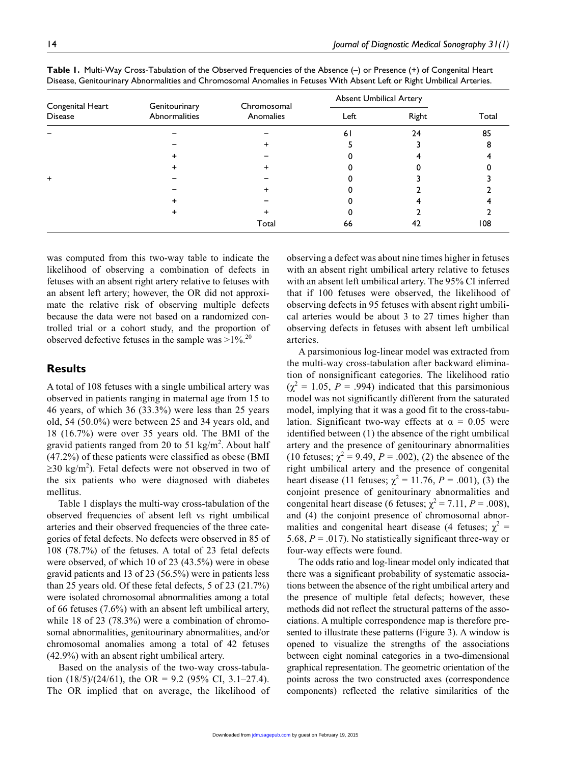| Table 1. Multi-Way Cross-Tabulation of the Observed Frequencies of the Absence (-) or Presence (+) of Congenital Heart  |  |
|-------------------------------------------------------------------------------------------------------------------------|--|
| Disease, Genitourinary Abnormalities and Chromosomal Anomalies in Fetuses With Absent Left or Right Umbilical Arteries. |  |

| Congenital Heart<br><b>Disease</b> | Genitourinary<br>Abnormalities | Chromosomal<br>Anomalies | <b>Absent Umbilical Artery</b> |       |       |
|------------------------------------|--------------------------------|--------------------------|--------------------------------|-------|-------|
|                                    |                                |                          | Left                           | Right | Total |
|                                    |                                |                          | 61                             | 24    | 85    |
|                                    |                                |                          |                                |       |       |
|                                    |                                |                          |                                |       |       |
|                                    |                                |                          |                                |       |       |
| +                                  |                                |                          |                                |       |       |
|                                    |                                |                          |                                |       |       |
|                                    |                                |                          |                                |       |       |
|                                    |                                |                          |                                |       |       |
|                                    |                                | Total                    | 66                             |       | 108   |

was computed from this two-way table to indicate the likelihood of observing a combination of defects in fetuses with an absent right artery relative to fetuses with an absent left artery; however, the OR did not approximate the relative risk of observing multiple defects because the data were not based on a randomized controlled trial or a cohort study, and the proportion of observed defective fetuses in the sample was  $>1\%$ .<sup>20</sup>

# **Results**

A total of 108 fetuses with a single umbilical artery was observed in patients ranging in maternal age from 15 to 46 years, of which 36 (33.3%) were less than 25 years old, 54 (50.0%) were between 25 and 34 years old, and 18 (16.7%) were over 35 years old. The BMI of the gravid patients ranged from 20 to 51 kg/m<sup>2</sup>. About half (47.2%) of these patients were classified as obese (BMI  $\geq$ 30 kg/m<sup>2</sup>). Fetal defects were not observed in two of the six patients who were diagnosed with diabetes mellitus.

Table 1 displays the multi-way cross-tabulation of the observed frequencies of absent left vs right umbilical arteries and their observed frequencies of the three categories of fetal defects. No defects were observed in 85 of 108 (78.7%) of the fetuses. A total of 23 fetal defects were observed, of which 10 of 23 (43.5%) were in obese gravid patients and 13 of 23 (56.5%) were in patients less than 25 years old. Of these fetal defects, 5 of 23 (21.7%) were isolated chromosomal abnormalities among a total of 66 fetuses (7.6%) with an absent left umbilical artery, while 18 of 23 (78.3%) were a combination of chromosomal abnormalities, genitourinary abnormalities, and/or chromosomal anomalies among a total of 42 fetuses (42.9%) with an absent right umbilical artery.

Based on the analysis of the two-way cross-tabulation  $(18/5)/(24/61)$ , the OR = 9.2 (95% CI, 3.1–27.4). The OR implied that on average, the likelihood of observing a defect was about nine times higher in fetuses with an absent right umbilical artery relative to fetuses with an absent left umbilical artery. The 95% CI inferred that if 100 fetuses were observed, the likelihood of observing defects in 95 fetuses with absent right umbilical arteries would be about 3 to 27 times higher than observing defects in fetuses with absent left umbilical arteries.

A parsimonious log-linear model was extracted from the multi-way cross-tabulation after backward elimination of nonsignificant categories. The likelihood ratio  $(\chi^2 = 1.05, P = .994)$  indicated that this parsimonious model was not significantly different from the saturated model, implying that it was a good fit to the cross-tabulation. Significant two-way effects at  $\alpha = 0.05$  were identified between (1) the absence of the right umbilical artery and the presence of genitourinary abnormalities (10 fetuses;  $\chi^2 = 9.49$ ,  $P = .002$ ), (2) the absence of the right umbilical artery and the presence of congenital heart disease (11 fetuses;  $\chi^2 = 11.76$ ,  $P = .001$ ), (3) the conjoint presence of genitourinary abnormalities and congenital heart disease (6 fetuses;  $\chi^2 = 7.11$ ,  $P = .008$ ), and (4) the conjoint presence of chromosomal abnormalities and congenital heart disease (4 fetuses;  $\chi^2$  = 5.68, *P* = .017). No statistically significant three-way or four-way effects were found.

The odds ratio and log-linear model only indicated that there was a significant probability of systematic associations between the absence of the right umbilical artery and the presence of multiple fetal defects; however, these methods did not reflect the structural patterns of the associations. A multiple correspondence map is therefore presented to illustrate these patterns (Figure 3). A window is opened to visualize the strengths of the associations between eight nominal categories in a two-dimensional graphical representation. The geometric orientation of the points across the two constructed axes (correspondence components) reflected the relative similarities of the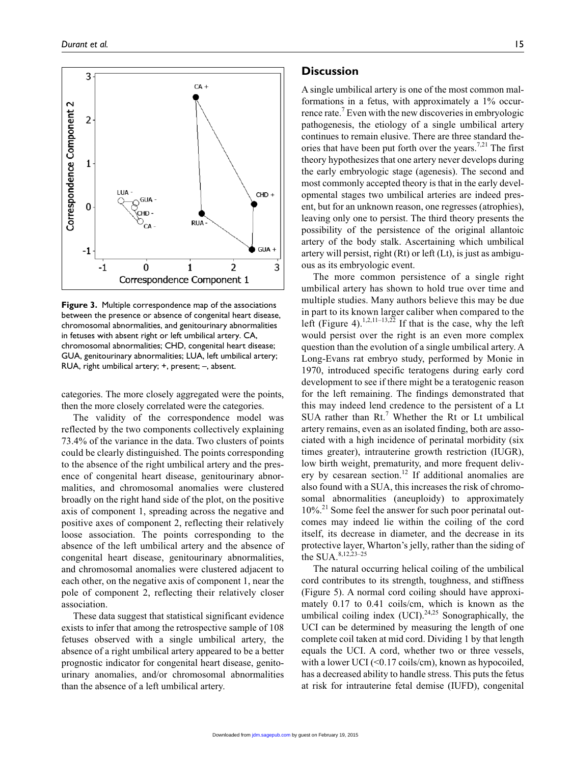

**Figure 3.** Multiple correspondence map of the associations between the presence or absence of congenital heart disease, chromosomal abnormalities, and genitourinary abnormalities in fetuses with absent right or left umbilical artery. CA, chromosomal abnormalities; CHD, congenital heart disease; GUA, genitourinary abnormalities; LUA, left umbilical artery; RUA, right umbilical artery; +, present; –, absent.

categories. The more closely aggregated were the points, then the more closely correlated were the categories.

The validity of the correspondence model was reflected by the two components collectively explaining 73.4% of the variance in the data. Two clusters of points could be clearly distinguished. The points corresponding to the absence of the right umbilical artery and the presence of congenital heart disease, genitourinary abnormalities, and chromosomal anomalies were clustered broadly on the right hand side of the plot, on the positive axis of component 1, spreading across the negative and positive axes of component 2, reflecting their relatively loose association. The points corresponding to the absence of the left umbilical artery and the absence of congenital heart disease, genitourinary abnormalities, and chromosomal anomalies were clustered adjacent to each other, on the negative axis of component 1, near the pole of component 2, reflecting their relatively closer association.

These data suggest that statistical significant evidence exists to infer that among the retrospective sample of 108 fetuses observed with a single umbilical artery, the absence of a right umbilical artery appeared to be a better prognostic indicator for congenital heart disease, genitourinary anomalies, and/or chromosomal abnormalities than the absence of a left umbilical artery.

# **Discussion**

A single umbilical artery is one of the most common malformations in a fetus, with approximately a 1% occurrence rate.<sup>7</sup> Even with the new discoveries in embryologic pathogenesis, the etiology of a single umbilical artery continues to remain elusive. There are three standard theories that have been put forth over the years.<sup>7,21</sup> The first theory hypothesizes that one artery never develops during the early embryologic stage (agenesis). The second and most commonly accepted theory is that in the early developmental stages two umbilical arteries are indeed present, but for an unknown reason, one regresses (atrophies), leaving only one to persist. The third theory presents the possibility of the persistence of the original allantoic artery of the body stalk. Ascertaining which umbilical artery will persist, right (Rt) or left (Lt), is just as ambiguous as its embryologic event.

The more common persistence of a single right umbilical artery has shown to hold true over time and multiple studies. Many authors believe this may be due in part to its known larger caliber when compared to the left (Figure 4).<sup>1,2,11–13,22</sup> If that is the case, why the left would persist over the right is an even more complex question than the evolution of a single umbilical artery. A Long-Evans rat embryo study, performed by Monie in 1970, introduced specific teratogens during early cord development to see if there might be a teratogenic reason for the left remaining. The findings demonstrated that this may indeed lend credence to the persistent of a Lt SUA rather than  $Rt$ .<sup>7</sup> Whether the Rt or Lt umbilical artery remains, even as an isolated finding, both are associated with a high incidence of perinatal morbidity (six times greater), intrauterine growth restriction (IUGR), low birth weight, prematurity, and more frequent delivery by cesarean section.<sup>12</sup> If additional anomalies are also found with a SUA, this increases the risk of chromosomal abnormalities (aneuploidy) to approximately 10%.<sup>21</sup> Some feel the answer for such poor perinatal outcomes may indeed lie within the coiling of the cord itself, its decrease in diameter, and the decrease in its protective layer, Wharton's jelly, rather than the siding of the SUA. $8,12,23-25$ 

The natural occurring helical coiling of the umbilical cord contributes to its strength, toughness, and stiffness (Figure 5). A normal cord coiling should have approximately 0.17 to 0.41 coils/cm, which is known as the umbilical coiling index  $(UCI).^{24,25}$  Sonographically, the UCI can be determined by measuring the length of one complete coil taken at mid cord. Dividing 1 by that length equals the UCI. A cord, whether two or three vessels, with a lower UCI ( $\leq 0.17 \text{ coils/cm}$ ), known as hypocoiled, has a decreased ability to handle stress. This puts the fetus at risk for intrauterine fetal demise (IUFD), congenital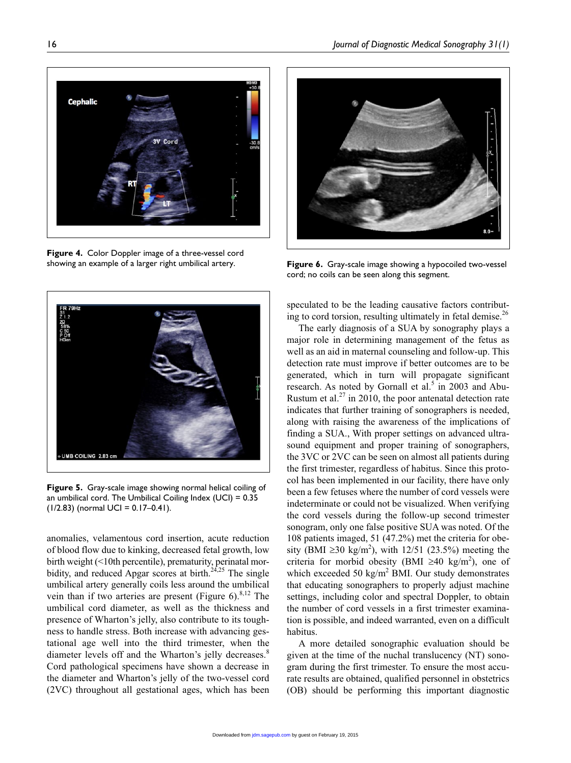

**Figure 4.** Color Doppler image of a three-vessel cord showing an example of a larger right umbilical artery.



**Figure 5.** Gray-scale image showing normal helical coiling of an umbilical cord. The Umbilical Coiling Index (UCI) = 0.35  $(1/2.83)$  (normal UCI = 0.17-0.41).

anomalies, velamentous cord insertion, acute reduction of blood flow due to kinking, decreased fetal growth, low birth weight (<10th percentile), prematurity, perinatal morbidity, and reduced Apgar scores at birth. $24,25$  The single umbilical artery generally coils less around the umbilical vein than if two arteries are present (Figure 6). $8,12$  The umbilical cord diameter, as well as the thickness and presence of Wharton's jelly, also contribute to its toughness to handle stress. Both increase with advancing gestational age well into the third trimester, when the diameter levels off and the Wharton's jelly decreases.<sup>8</sup> Cord pathological specimens have shown a decrease in the diameter and Wharton's jelly of the two-vessel cord (2VC) throughout all gestational ages, which has been



**Figure 6.** Gray-scale image showing a hypocoiled two-vessel cord; no coils can be seen along this segment.

speculated to be the leading causative factors contributing to cord torsion, resulting ultimately in fetal demise.<sup>26</sup>

The early diagnosis of a SUA by sonography plays a major role in determining management of the fetus as well as an aid in maternal counseling and follow-up. This detection rate must improve if better outcomes are to be generated, which in turn will propagate significant research. As noted by Gornall et al.<sup>5</sup> in 2003 and Abu-Rustum et al.<sup>27</sup> in 2010, the poor antenatal detection rate indicates that further training of sonographers is needed, along with raising the awareness of the implications of finding a SUA., With proper settings on advanced ultrasound equipment and proper training of sonographers, the 3VC or 2VC can be seen on almost all patients during the first trimester, regardless of habitus. Since this protocol has been implemented in our facility, there have only been a few fetuses where the number of cord vessels were indeterminate or could not be visualized. When verifying the cord vessels during the follow-up second trimester sonogram, only one false positive SUA was noted. Of the 108 patients imaged, 51 (47.2%) met the criteria for obesity (BMI ≥30 kg/m<sup>2</sup>), with 12/51 (23.5%) meeting the criteria for morbid obesity (BMI ≥40 kg/m<sup>2</sup>), one of which exceeded 50 kg/ $m^2$  BMI. Our study demonstrates that educating sonographers to properly adjust machine settings, including color and spectral Doppler, to obtain the number of cord vessels in a first trimester examination is possible, and indeed warranted, even on a difficult habitus.

A more detailed sonographic evaluation should be given at the time of the nuchal translucency (NT) sonogram during the first trimester. To ensure the most accurate results are obtained, qualified personnel in obstetrics (OB) should be performing this important diagnostic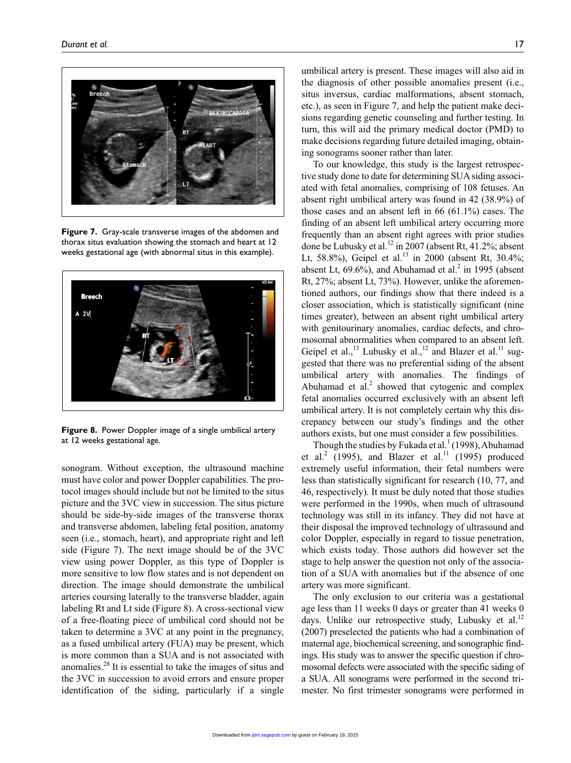

**Figure 7.** Gray-scale transverse images of the abdomen and thorax situs evaluation showing the stomach and heart at 12 weeks gestational age (with abnormal situs in this example).



**Figure 8.** Power Doppler image of a single umbilical artery at 12 weeks gestational age.

sonogram. Without exception, the ultrasound machine must have color and power Doppler capabilities. The protocol images should include but not be limited to the situs picture and the 3VC view in succession. The situs picture should be side-by-side images of the transverse thorax and transverse abdomen, labeling fetal position, anatomy seen (i.e., stomach, heart), and appropriate right and left side (Figure 7). The next image should be of the 3VC view using power Doppler, as this type of Doppler is more sensitive to low flow states and is not dependent on direction. The image should demonstrate the umbilical arteries coursing laterally to the transverse bladder, again labeling Rt and Lt side (Figure 8). A cross-sectional view of a free-floating piece of umbilical cord should not be taken to determine a 3VC at any point in the pregnancy, as a fused umbilical artery (FUA) may be present, which is more common than a SUA and is not associated with anomalies.28 It is essential to take the images of situs and the 3VC in succession to avoid errors and ensure proper identification of the siding, particularly if a single

umbilical artery is present. These images will also aid in the diagnosis of other possible anomalies present (i.e., situs inversus, cardiac malformations, absent stomach, etc.), as seen in Figure 7, and help the patient make decisions regarding genetic counseling and further testing. In turn, this will aid the primary medical doctor (PMD) to make decisions regarding future detailed imaging, obtaining sonograms sooner rather than later.

To our knowledge, this study is the largest retrospective study done to date for determining SUA siding associated with fetal anomalies, comprising of 108 fetuses. An absent right umbilical artery was found in 42 (38.9%) of those cases and an absent left in 66 (61.1%) cases. The finding of an absent left umbilical artery occurring more frequently than an absent right agrees with prior studies done be Lubusky et al.<sup>12</sup> in 2007 (absent Rt, 41.2%; absent Lt, 58.8%), Geipel et al.<sup>13</sup> in 2000 (absent Rt, 30.4%; absent Lt,  $69.6\%$ ), and Abuhamad et al.<sup>2</sup> in 1995 (absent Rt, 27%; absent Lt, 73%). However, unlike the aforementioned authors, our findings show that there indeed is a closer association, which is statistically significant (nine times greater), between an absent right umbilical artery with genitourinary anomalies, cardiac defects, and chromosomal abnormalities when compared to an absent left. Geipel et al.,<sup>13</sup> Lubusky et al.,<sup>12</sup> and Blazer et al.<sup>11</sup> suggested that there was no preferential siding of the absent umbilical artery with anomalies. The findings of Abuhamad et al. $2$  showed that cytogenic and complex fetal anomalies occurred exclusively with an absent left umbilical artery. It is not completely certain why this discrepancy between our study's findings and the other authors exists, but one must consider a few possibilities.

Though the studies by Fukada et al.<sup>1</sup> (1998), Abuhamad et al.<sup>2</sup> (1995), and Blazer et al.<sup>11</sup> (1995) produced extremely useful information, their fetal numbers were less than statistically significant for research (10, 77, and 46, respectively). It must be duly noted that those studies were performed in the 1990s, when much of ultrasound technology was still in its infancy. They did not have at their disposal the improved technology of ultrasound and color Doppler, especially in regard to tissue penetration, which exists today. Those authors did however set the stage to help answer the question not only of the association of a SUA with anomalies but if the absence of one artery was more significant.

The only exclusion to our criteria was a gestational age less than 11 weeks 0 days or greater than 41 weeks 0 days. Unlike our retrospective study, Lubusky et al.<sup>12</sup> (2007) preselected the patients who had a combination of maternal age, biochemical screening, and sonographic findings. His study was to answer the specific question if chromosomal defects were associated with the specific siding of a SUA. All sonograms were performed in the second trimester. No first trimester sonograms were performed in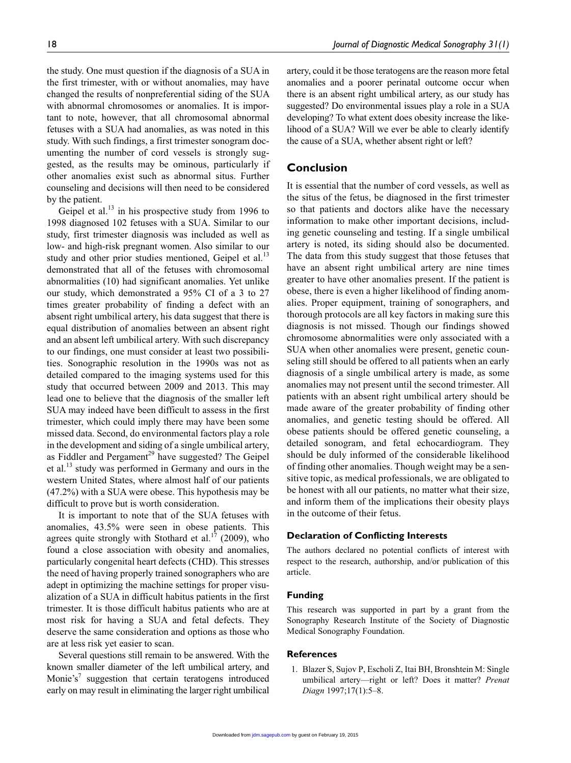the study. One must question if the diagnosis of a SUA in the first trimester, with or without anomalies, may have changed the results of nonpreferential siding of the SUA with abnormal chromosomes or anomalies. It is important to note, however, that all chromosomal abnormal fetuses with a SUA had anomalies, as was noted in this study. With such findings, a first trimester sonogram documenting the number of cord vessels is strongly suggested, as the results may be ominous, particularly if other anomalies exist such as abnormal situs. Further counseling and decisions will then need to be considered by the patient.

Geipel et al. $^{13}$  in his prospective study from 1996 to 1998 diagnosed 102 fetuses with a SUA. Similar to our study, first trimester diagnosis was included as well as low- and high-risk pregnant women. Also similar to our study and other prior studies mentioned, Geipel et al. $^{13}$ demonstrated that all of the fetuses with chromosomal abnormalities (10) had significant anomalies. Yet unlike our study, which demonstrated a 95% CI of a 3 to 27 times greater probability of finding a defect with an absent right umbilical artery, his data suggest that there is equal distribution of anomalies between an absent right and an absent left umbilical artery. With such discrepancy to our findings, one must consider at least two possibilities. Sonographic resolution in the 1990s was not as detailed compared to the imaging systems used for this study that occurred between 2009 and 2013. This may lead one to believe that the diagnosis of the smaller left SUA may indeed have been difficult to assess in the first trimester, which could imply there may have been some missed data. Second, do environmental factors play a role in the development and siding of a single umbilical artery, as Fiddler and Pergament<sup>29</sup> have suggested? The Geipel et al.13 study was performed in Germany and ours in the western United States, where almost half of our patients (47.2%) with a SUA were obese. This hypothesis may be difficult to prove but is worth consideration.

It is important to note that of the SUA fetuses with anomalies, 43.5% were seen in obese patients. This agrees quite strongly with Stothard et al.<sup>17</sup> (2009), who found a close association with obesity and anomalies, particularly congenital heart defects (CHD). This stresses the need of having properly trained sonographers who are adept in optimizing the machine settings for proper visualization of a SUA in difficult habitus patients in the first trimester. It is those difficult habitus patients who are at most risk for having a SUA and fetal defects. They deserve the same consideration and options as those who are at less risk yet easier to scan.

Several questions still remain to be answered. With the known smaller diameter of the left umbilical artery, and Monie's<sup>7</sup> suggestion that certain teratogens introduced early on may result in eliminating the larger right umbilical

artery, could it be those teratogens are the reason more fetal anomalies and a poorer perinatal outcome occur when there is an absent right umbilical artery, as our study has suggested? Do environmental issues play a role in a SUA developing? To what extent does obesity increase the likelihood of a SUA? Will we ever be able to clearly identify the cause of a SUA, whether absent right or left?

# **Conclusion**

It is essential that the number of cord vessels, as well as the situs of the fetus, be diagnosed in the first trimester so that patients and doctors alike have the necessary information to make other important decisions, including genetic counseling and testing. If a single umbilical artery is noted, its siding should also be documented. The data from this study suggest that those fetuses that have an absent right umbilical artery are nine times greater to have other anomalies present. If the patient is obese, there is even a higher likelihood of finding anomalies. Proper equipment, training of sonographers, and thorough protocols are all key factors in making sure this diagnosis is not missed. Though our findings showed chromosome abnormalities were only associated with a SUA when other anomalies were present, genetic counseling still should be offered to all patients when an early diagnosis of a single umbilical artery is made, as some anomalies may not present until the second trimester. All patients with an absent right umbilical artery should be made aware of the greater probability of finding other anomalies, and genetic testing should be offered. All obese patients should be offered genetic counseling, a detailed sonogram, and fetal echocardiogram. They should be duly informed of the considerable likelihood of finding other anomalies. Though weight may be a sensitive topic, as medical professionals, we are obligated to be honest with all our patients, no matter what their size, and inform them of the implications their obesity plays in the outcome of their fetus.

## **Declaration of Conflicting Interests**

The authors declared no potential conflicts of interest with respect to the research, authorship, and/or publication of this article.

# **Funding**

This research was supported in part by a grant from the Sonography Research Institute of the Society of Diagnostic Medical Sonography Foundation.

## **References**

1. Blazer S, Sujov P, Escholi Z, Itai BH, Bronshtein M: Single umbilical artery—right or left? Does it matter? *Prenat Diagn* 1997;17(1):5–8.